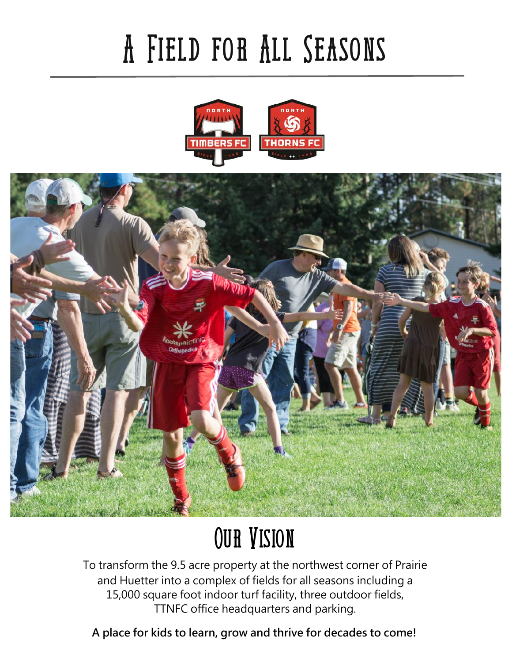# **A Field for All Seasons**





## **Our Vision**

To transform the 9.5 acre property at the northwest corner of Prairie and Huetter into a complex of fields for all seasons including a 15,000 square foot indoor turf facility, three outdoor fields, TTNFC office headquarters and parking.

**A place for kids to learn, grow and thrive for decades to come!**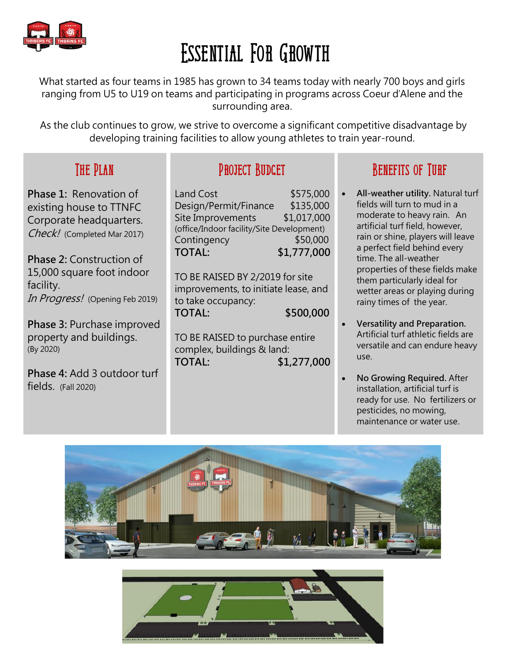

### **Essential For Growth**

What started as four teams in 1985 has grown to 34 teams today with nearly 700 boys and girls ranging from U5 to U19 on teams and participating in programs across Coeur d'Alene and the surrounding area.

As the club continues to grow, we strive to overcome a significant competitive disadvantage by developing training facilities to allow young athletes to train year-round.

#### **The Plan**

**Phase 1:** Renovation of existing house to TTNFC Corporate headquarters. Check! (Completed Mar 2017)

**Phase 2:** Construction of 15,000 square foot indoor facility. In Progress! (Opening Feb 2019)

**Phase 3:** Purchase improved property and buildings. (By 2020)

**Phase 4:** Add 3 outdoor turf fields. (Fall 2020)

#### **Project Budget**

Land Cost \$575,000 Design/Permit/Finance \$135,000 Site Improvements \$1,017,000 (office/Indoor facility/Site Development) Contingency \$50,000 **TOTAL: \$1,777,000**

TO BE RAISED BY 2/2019 for site improvements, to initiate lease, and to take occupancy: **TOTAL: \$500,000**

TO BE RAISED to purchase entire complex, buildings & land: **TOTAL: \$1,277,000**

#### **Benefits of Turf**

- **All-weather utility.** Natural turf fields will turn to mud in a moderate to heavy rain. An artificial turf field, however, rain or shine, players will leave a perfect field behind every time. The all-weather properties of these fields make them particularly ideal for wetter areas or playing during rainy times of the year.
- **Versatility and Preparation.**  Artificial turf athletic fields are versatile and can endure heavy use.
- **No Growing Required.** After installation, artificial turf is ready for use. No fertilizers or pesticides, no mowing, maintenance or water use.



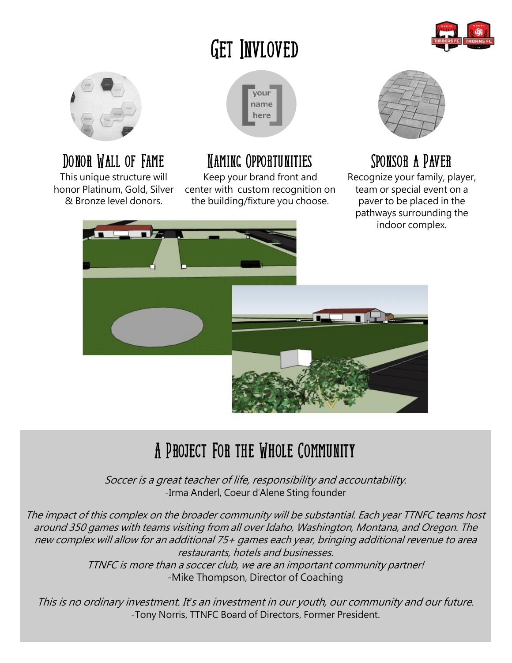### **Get Invloved**





### **Donor Wall of Fame**

This unique structure will honor Platinum, Gold, Silver & Bronze level donors.



### **Naming Opportunities**

Keep your brand front and center with custom recognition on the building/fixture you choose.



### **Sponsor a Paver**

Recognize your family, player, team or special event on a paver to be placed in the pathways surrounding the indoor complex.



### **A Project For the Whole Community**

Soccer is a great teacher of life, responsibility and accountability. -Irma Anderl, Coeur d'Alene Sting founder

The impact of this complex on the broader community will be substantial. Each year TTNFC teams host around 350 games with teams visiting from all over Idaho, Washington, Montana, and Oregon. The new complex will allow for an additional 75+ games each year, bringing additional revenue to area restaurants, hotels and businesses.

TTNFC is more than a soccer club, we are an important community partner! -Mike Thompson, Director of Coaching

This is no ordinary investment. It*'*s an investment in our youth, our community and our future. -Tony Norris, TTNFC Board of Directors, Former President.